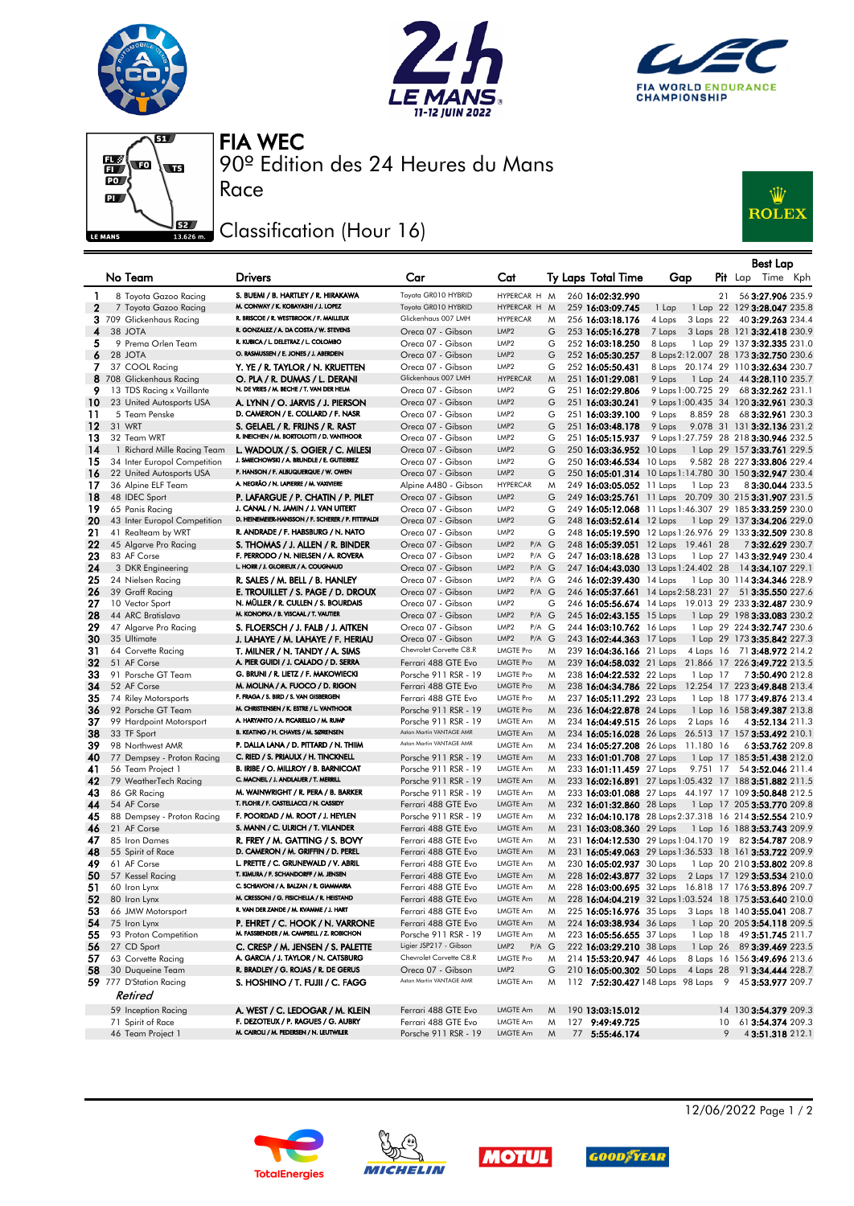







90º Edition des 24 Heures du Mans FIA WEC

## Classification (Hour 16)

Race



|          |                                             |                                                                                           |                                              |                                               |        |                                      |                                      |          | <b>Best Lap</b>                                                                                                  |
|----------|---------------------------------------------|-------------------------------------------------------------------------------------------|----------------------------------------------|-----------------------------------------------|--------|--------------------------------------|--------------------------------------|----------|------------------------------------------------------------------------------------------------------------------|
|          | No Team                                     | <b>Drivers</b>                                                                            | Car                                          | Cat                                           |        | Ty Laps Total Time                   | Gap                                  |          | Pit Lap Time Kph                                                                                                 |
| 1        | 8 Toyota Gazoo Racing                       | S. BUEMI / B. HARTLEY / R. HIRAKAWA                                                       | Toyota GR010 HYBRID                          | HYPERCAR H M                                  |        | 260 16:02:32.990                     |                                      | 21       | 56 3:27.906 235.9                                                                                                |
| 2        | 7 Toyota Gazoo Racing                       | M. CONWAY / K. KOBAYASHI / J. LOPEZ                                                       | Toyota GR010 HYBRID                          | HYPERCAR H M                                  |        | 259 16:03:09.745                     | 1 Lap                                |          | 1 Lap 22 129 3:28.047 235.8                                                                                      |
|          | 3 709 Glickenhaus Racing                    | R. BRISCOE / R. WESTBROOK / F. MAILLEUX                                                   | Glickenhaus 007 LMH                          | <b>HYPERCAR</b>                               | M      | 256 16:03:18.176                     | 4 Laps<br>3 Laps 22                  |          | 40 3:29.263 234.4                                                                                                |
| 4        | 38 JOTA                                     | R. GONZALEZ / A. DA COSTA / W. STEVENS                                                    | Oreca 07 - Gibson                            | LMP <sub>2</sub>                              | G      | 253 16:05:16.278                     | 7 Laps                               |          | 3 Laps 28 121 3:32.418 230.9                                                                                     |
| 5        | 9 Prema Orlen Team                          | R. KUBICA / L. DELETRAZ / L. COLOMBO                                                      | Oreca 07 - Gibson                            | LMP <sub>2</sub>                              | G      | 252 16:03:18.250                     | 8 Laps                               |          | 1 Lap 29 137 3:32.335 231.0                                                                                      |
| 6        | 28 JOTA                                     | O. RASMUSSEN / E. JONES / J. ABERDEIN                                                     | Oreca 07 - Gibson                            | LMP <sub>2</sub>                              | G      | 252 16:05:30.257                     |                                      |          | 8 Laps 2:12.007 28 173 3:32.750 230.6                                                                            |
| 7        | 37 COOL Racing                              | Y. YE / R. TAYLOR / N. KRUETTEN                                                           | Oreca 07 - Gibson                            | LMP <sub>2</sub>                              | G      | 252 16:05:50.431                     |                                      |          | 8 Laps 20.174 29 110 3:32.634 230.7                                                                              |
|          | 8 708 Glickenhaus Racing                    | O. PLA / R. DUMAS / L. DERANI<br>N. DE VRIES / M. BECHE / T. VAN DER HELM                 | Glickenhaus 007 LMH                          | <b>HYPERCAR</b>                               | M      | 251 16:01:29.081                     | 9 Laps                               |          | 1 Lap 24 44 3:28.110 235.7                                                                                       |
| 9        | 13 TDS Racing x Vaillante                   |                                                                                           | Oreca 07 - Gibson                            | LMP <sub>2</sub><br>LMP <sub>2</sub>          | G<br>G | 251 16:02:29.806                     | 9 Laps 1:00.725 29                   |          | 68 3:32.262 231.1                                                                                                |
| 10<br>11 | 23 United Autosports USA<br>5 Team Penske   | A. LYNN / O. JARVIS / J. PIERSON<br>D. CAMERON / E. COLLARD / F. NASR                     | Oreca 07 - Gibson<br>Oreca 07 - Gibson       | LMP <sub>2</sub>                              | G      | 251 16:03:30.241<br>251 16:03:39.100 | 9 Laps                               | 8.859 28 | 9 Laps 1:00.435 34 120 3:32.961 230.3<br>68 3:32.961 230.3                                                       |
| 12       | 31 WRT                                      | S. GELAEL / R. FRIJNS / R. RAST                                                           | Oreca 07 - Gibson                            | LMP <sub>2</sub>                              | G      | 251 16:03:48.178                     | 9 Laps                               |          | 9.078 31 131 3:32.136 231.2                                                                                      |
| 13       | 32 Team WRT                                 | R. INEICHEN / M. BORTOLOTTI / D. VANTHOOR                                                 | Oreca 07 - Gibson                            | LMP <sub>2</sub>                              | G      | 251 16:05:15.937                     |                                      |          | 9 Laps 1:27.759 28 218 3:30.946 232.5                                                                            |
| 14       | 1 Richard Mille Racing Team                 | L. WADOUX / S. OGIER / C. MILESI                                                          | Oreca 07 - Gibson                            | LMP <sub>2</sub>                              | G      | 250 16:03:36.952 10 Laps             |                                      |          | 1 Lap 29 157 3:33.761 229.5                                                                                      |
| 15       | 34 Inter Europol Competition                | J. SMIECHOWSKI / A. BRUNDLE / E. GUTIERREZ                                                | Oreca 07 - Gibson                            | LMP <sub>2</sub>                              | G      | 250 16:03:46.534 10 Laps             |                                      |          | 9.582 28 227 3:33.806 229.4                                                                                      |
| 16       | 22 United Autosports USA                    | P. HANSON / F. ALBUQUERQUE / W. OWEN                                                      | Oreca 07 - Gibson                            | LMP <sub>2</sub>                              | G      |                                      |                                      |          | 250 16:05:01.314 10 Laps 1:14.780 30 150 3:32.947 230.4                                                          |
| 17       | 36 Alpine ELF Team                          | A. NEGRÃO / N. LAPIERRE / M. VAXIVIERE                                                    | Alpine A480 - Gibson                         | <b>HYPERCAR</b>                               | M      | 249 16:03:05.052 11 Laps             |                                      | 1 Lap 23 | 83:30.044 233.5                                                                                                  |
| 18       | 48 IDEC Sport                               | P. LAFARGUE / P. CHATIN / P. PILET                                                        | Oreca 07 - Gibson                            | LMP <sub>2</sub>                              | G      |                                      |                                      |          | 249 16:03:25.761 11 Laps 20.709 30 215 3:31.907 231.5                                                            |
| 19       | 65 Panis Racing                             | J. CANAL / N. JAMIN / J. VAN UITERT<br>D. HEINEMEIER-HANSSON / F. SCHERER / P. FITTIPALDI | Oreca 07 - Gibson                            | LMP <sub>2</sub>                              | G      |                                      |                                      |          | 249 16:05:12.068 11 Laps 1:46.307 29 185 3:33.259 230.0                                                          |
| 20       | 43 Inter Europol Competition                | R. ANDRADE / F. HABSBURG / N. NATO                                                        | Oreca 07 - Gibson                            | LMP <sub>2</sub><br>LMP <sub>2</sub>          | G      | 248 16:03:52.614 12 Laps             |                                      |          | 1 Lap 29 137 <b>3:34.206</b> 229.0                                                                               |
| 21<br>22 | 41 Realteam by WRT<br>45 Algarve Pro Racing | S. THOMAS / J. ALLEN / R. BINDER                                                          | Oreca 07 - Gibson<br>Oreca 07 - Gibson       | LMP <sub>2</sub><br>$P/A$ $G$                 | G      |                                      | 248 16:05:39.051 12 Laps 19.461 28   |          | 248 16:05:19.590 12 Laps 1:26.976 29 133 3:32.509 230.8<br>73:32.629 230.7                                       |
| 23       | 83 AF Corse                                 | F. PERRODO / N. NIELSEN / A. ROVERA                                                       | Oreca 07 - Gibson                            | LMP <sub>2</sub><br>P/A G                     |        | 247 16:03:18.628 13 Laps             |                                      |          | 1 Lap 27 143 3:32.949 230.4                                                                                      |
| 24       | 3 DKR Engineering                           | L. HORR / J. GLORIEUX / A. COUGNAUD                                                       | Oreca 07 - Gibson                            | LMP <sub>2</sub><br>$P/A$ $G$                 |        |                                      |                                      |          | 247 16:04:43.030 13 Laps 1:24.402 28 14 3:34.107 229.1                                                           |
| 25       | 24 Nielsen Racing                           | R. SALES / M. BELL / B. HANLEY                                                            | Oreca 07 - Gibson                            | LMP <sub>2</sub><br>P/A G                     |        | 246 16:02:39.430 14 Laps             |                                      |          | 1 Lap 30 114 3:34.346 228.9                                                                                      |
| 26       | 39 Graff Racing                             | E. TROUILLET / S. PAGE / D. DROUX                                                         | Oreca 07 - Gibson                            | LMP <sub>2</sub><br>P/A G                     |        |                                      |                                      |          | 246 16:05:37.661 14 Laps 2:58.231 27 51 3:35.550 227.6                                                           |
| 27       | 10 Vector Sport                             | N. MÜLLER / R. CULLEN / S. BOURDAIS                                                       | Oreca 07 - Gibson                            | LMP <sub>2</sub>                              | G      |                                      |                                      |          | 246 16:05:56.674 14 Laps 19.013 29 233 3:32.487 230.9                                                            |
| 28       | 44 ARC Bratislava                           | M. KONOPKA / B. VISCAAL / T. VAUTIER                                                      | Oreca 07 - Gibson                            | LMP <sub>2</sub><br>$P/A$ $G$                 |        | 245 16:02:43.155 15 Laps             |                                      |          | 1 Lap 29 198 3:33.083 230.2                                                                                      |
| 29       | 47 Algarve Pro Racing                       | S. FLOERSCH / J. FALB / J. AITKEN                                                         | Oreca 07 - Gibson                            | LMP <sub>2</sub><br>P/A G                     |        | 244 16:03:10.762 16 Laps             |                                      |          | 1 Lap 29 224 3:32.747 230.6                                                                                      |
| 30       | 35 Ultimate                                 | J. LAHAYE / M. LAHAYE / F. HERIAU                                                         | Oreca 07 - Gibson<br>Chevrolet Corvette C8.R | LMP <sub>2</sub><br>P/A G<br><b>LMGTE Pro</b> |        | 243 16:02:44.363 17 Laps             |                                      |          | 1 Lap 29 173 3:35.842 227.3                                                                                      |
| 31<br>32 | 64 Corvette Racing<br>51 AF Corse           | T. MILNER / N. TANDY / A. SIMS<br>A. PIER GUIDI / J. CALADO / D. SERRA                    | Ferrari 488 GTE Evo                          | <b>LMGTE Pro</b>                              | M<br>M | 239 16:04:36.166 21 Laps             |                                      |          | 4 Laps 16 71 3:48.972 214.2<br>239 16:04:58.032 21 Laps 21.866 17 226 3:49.722 213.5                             |
| 33       | 91 Porsche GT Team                          | G. BRUNI / R. LIETZ / F. MAKOWIECKI                                                       | Porsche 911 RSR - 19                         | <b>LMGTE Pro</b>                              | M      | 238 16:04:22.532 22 Laps             |                                      | 1 Lap 17 | 7 3:50.490 212.8                                                                                                 |
| 34       | 52 AF Corse                                 | M. MOLINA / A. FUOCO / D. RIGON                                                           | Ferrari 488 GTE Evo                          | <b>LMGTE Pro</b>                              | M      | 238 16:04:34.786 22 Laps             |                                      |          | 12.254 17 223 3:49.848 213.4                                                                                     |
| 35       | 74 Riley Motorsports                        | F. FRAGA / S. BIRD / S. VAN GISBERGEN                                                     | Ferrari 488 GTE Evo                          | <b>LMGTE Pro</b>                              | M      | 237 16:05:11.292 23 Laps             |                                      |          | 1 Lap 18 177 3:49.876 213.4                                                                                      |
| 36       | 92 Porsche GT Team                          | M. CHRISTENSEN / K. ESTRE / L. VANTHOOR                                                   | Porsche 911 RSR - 19                         | <b>LMGTE Pro</b>                              | M      | 236 16:04:22.878 24 Laps             |                                      |          | 1 Lap 16 158 3:49.387 213.8                                                                                      |
| 37       | 99 Hardpoint Motorsport                     | A. HARYANTO / A. PICARIELLO / M. RUMP                                                     | Porsche 911 RSR - 19                         | LMGTE Am                                      | M      | 234 16:04:49.515 26 Laps             | 2 Laps 16                            |          | 4 3:52.134 211.3                                                                                                 |
| 38       | 33 TF Sport                                 | B. KEATING / H. CHAVES / M. SØRENSEN                                                      | Aston Martin VANTAGE AMR                     | <b>LMGTE Am</b>                               | M      |                                      |                                      |          | 234 16:05:16.028 26 Laps 26.513 17 157 3:53.492 210.1                                                            |
| 39       | 98 Northwest AMR                            | P. DALLA LANA / D. PITTARD / N. THIM                                                      | Aston Martin VANTAGE AMR                     | LMGTE Am                                      | M      |                                      | 234 16:05:27.208 26 Laps 11.180 16   |          | 63:53.762 209.8                                                                                                  |
| 40<br>41 | 77 Dempsey - Proton Racing                  | C. RIED / S. PRIAULX / H. TINCKNELL<br>B. IRIBE / O. MILLROY / B. BARNICOAT               | Porsche 911 RSR - 19                         | <b>LMGTE Am</b><br>LMGTE Am                   | M<br>M | 233 16:01:01.708 27 Laps             |                                      |          | 1 Lap 17 185 3:51.438 212.0                                                                                      |
| 42       | 56 Team Project 1<br>79 WeatherTech Racing  | C. MACNEIL / J. ANDLAUER / T. MERRILL                                                     | Porsche 911 RSR - 19<br>Porsche 911 RSR - 19 | LMGTE Am                                      | M      | 233 16:01:11.459 27 Laps             |                                      |          | 9.751 17 54 3:52.046 211.4<br>233 16:02:16.891 27 Laps 1:05.432 17 188 3:51.882 211.5                            |
| 43       | 86 GR Racing                                | M. WAINWRIGHT / R. PERA / B. BARKER                                                       | Porsche 911 RSR - 19                         | LMGTE Am                                      | M      |                                      |                                      |          | 233 16:03:01.088 27 Laps 44.197 17 109 3:50.848 212.5                                                            |
| 44       | 54 AF Corse                                 | T. FLOHR / F. CASTELLACCI / N. CASSIDY                                                    | Ferrari 488 GTE Evo                          | LMGTE Am                                      | M      | 232 16:01:32.860 28 Laps             |                                      |          | 1 Lap 17 205 3:53.770 209.8                                                                                      |
| 45       | 88 Dempsey - Proton Racing                  | F. POORDAD / M. ROOT / J. HEYLEN                                                          | Porsche 911 RSR - 19                         | LMGTE Am                                      | M      |                                      |                                      |          | 232 16:04:10.178 28 Laps 2:37.318 16 214 3:52.554 210.9                                                          |
| 46       | 21 AF Corse                                 | S. MANN / C. ULRICH / T. VILANDER                                                         | Ferrari 488 GTE Evo                          | LMGTE Am                                      | M      |                                      |                                      |          | 231 16:03:08.360 29 Laps 1 Lap 16 188 3:53.743 209.9                                                             |
| 47       | 85 Iron Dames                               | R. FREY / M. GATTING / S. BOVY                                                            | Ferrari 488 GTE Evo                          | LMGTE Am                                      | M      |                                      | 231 16:04:12.530 29 Laps 1:04.170 19 |          | 82 3:54.787 208.9                                                                                                |
| 48       | 55 Spirit of Race                           | D. CAMERON / M. GRIFFIN / D. PEREL                                                        | Ferrari 488 GTE Evo                          | <b>LMGTE Am</b>                               | M      |                                      |                                      |          | 231 16:05:49.063 29 Laps 1:36.533 18 161 3:53.722 209.9                                                          |
| 49       | 61 AF Corse                                 | L. PRETTE / C. GRUNEWALD / V. ABRIL                                                       | Ferrari 488 GTE Evo                          | LMGTE Am                                      | M      | 230 16:05:02.937 30 Laps             |                                      |          | 1 Lap 20 210 3:53.802 209.8                                                                                      |
| 50       | 57 Kessel Racing                            | T. KIMURA / F. SCHANDORFF / M. JENSEN<br>C. SCHIAVONI / A. BALZAN / R. GIAMMARIA          | Ferrari 488 GTE Evo                          | LMGTE Am<br>LMGTE Am                          | M      | 228 16:02:43.877 32 Laps             |                                      |          | 2 Laps 17 129 3:53.534 210.0                                                                                     |
| 51<br>52 | 60 Iron Lynx<br>80 Iron Lynx                | M. CRESSONI / G. FISICHELLA / R. HEISTAND                                                 | Ferrari 488 GTE Evo<br>Ferrari 488 GTE Evo   | LMGTE Am                                      | M      |                                      |                                      |          | 228 16:03:00.695 32 Laps 16.818 17 176 3:53.896 209.7<br>228 16:04:04.219 32 Laps 1:03.524 18 175 3:53.640 210.0 |
| 53       | 66 JMW Motorsport                           | R. VAN DER ZANDE / M. KVAMME / J. HART                                                    | Ferrari 488 GTE Evo                          | LMGTE Am                                      | M<br>M | 225 16:05:16.976 35 Laps             |                                      |          | 3 Laps 18 140 3:55.041 208.7                                                                                     |
| 54       | 75 Iron Lynx                                | P. EHRET / C. HOOK / N. VARRONE                                                           | Ferrari 488 GTE Evo                          | LMGTE Am                                      | M      | 224 16:03:38.934 36 Laps             |                                      |          | 1 Lap 20 205 3:54.118 209.5                                                                                      |
| 55       | 93 Proton Competition                       | M. FASSBENDER / M. CAMPBELL / Z. ROBICHON                                                 | Porsche 911 RSR - 19                         | <b>LMGTE Am</b>                               | M      | 223 16:05:56.655 37 Laps             |                                      |          | 1 Lap 18 49 3:51.745 211.7                                                                                       |
| 56       | 27 CD Sport                                 | C. CRESP / M. JENSEN / S. PALETTE                                                         | Ligier JSP217 - Gibson                       | LMP <sub>2</sub><br>$P/A$ $G$                 |        | 222 16:03:29.210 38 Laps             |                                      |          | 1 Lap 26 89 3:39.469 223.5                                                                                       |
| 57       | 63 Corvette Racing                          | A. GARCIA / J. TAYLOR / N. CATSBURG                                                       | Chevrolet Corvette C8.R                      | <b>LMGTE Pro</b>                              | M      | 214 15:53:20.947 46 Laps             |                                      |          | 8 Laps 16 156 3:49.696 213.6                                                                                     |
| 58       | 30 Duqueine Team                            | R. BRADLEY / G. ROJAS / R. DE GERUS                                                       | Oreca 07 - Gibson                            | LMP <sub>2</sub>                              | G      | 210 16:05:00.302 50 Laps             |                                      |          | 4 Laps 28 91 3:34.444 228.7                                                                                      |
|          | 59 777 D'Station Racing                     | S. HOSHINO / T. FUJII / C. FAGG                                                           | Aston Martin VANTAGE AMR                     | LMGTE Am                                      | M      |                                      |                                      |          | 112 7:52:30.427 148 Laps 98 Laps 9 45 3:53.977 209.7                                                             |
|          | Retired                                     |                                                                                           |                                              |                                               |        |                                      |                                      |          |                                                                                                                  |
|          | 59 Inception Racing                         | A. WEST / C. LEDOGAR / M. KLEIN                                                           | Ferrari 488 GTE Evo                          | LMGTE Am                                      | M      | 190 13:03:15.012                     |                                      |          | 14 130 3:54.379 209.3                                                                                            |
|          | 71 Spirit of Race                           | F. DEZOTEUX / P. RAGUES / G. AUBRY<br>M. CAIROLI / M. PEDERSEN / N. LEUTWILER             | Ferrari 488 GTE Evo                          | LMGTE Am                                      | Μ      | 127 9:49:49.725                      |                                      | 10       | 61 3:54.374 209.3                                                                                                |
|          | 46 Team Project 1                           |                                                                                           | Porsche 911 RSR - 19                         | LMGTE Am                                      | M      | 77 5:55:46.174                       |                                      | 9        | 43:51.318 212.1                                                                                                  |









12/06/2022 Page 1 / 2